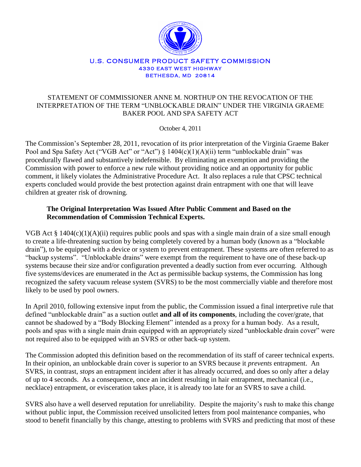

#### U.S. CONSUMER PRODUCT SAFETY COMMISSION **4330 EAST WEST HIGHWAY BETHESDA, MD 20814**

## STATEMENT OF COMMISSIONER ANNE M. NORTHUP ON THE REVOCATION OF THE INTERPRETATION OF THE TERM "UNBLOCKABLE DRAIN" UNDER THE VIRGINIA GRAEME BAKER POOL AND SPA SAFETY ACT

October 4, 2011

The Commission's September 28, 2011, revocation of its prior interpretation of the Virginia Graeme Baker Pool and Spa Safety Act ("VGB Act" or "Act") § 1404(c)(1)(A)(ii) term "unblockable drain" was procedurally flawed and substantively indefensible. By eliminating an exemption and providing the Commission with power to enforce a new rule without providing notice and an opportunity for public comment, it likely violates the Administrative Procedure Act. It also replaces a rule that CPSC technical experts concluded would provide the best protection against drain entrapment with one that will leave children at greater risk of drowning.

# **The Original Interpretation Was Issued After Public Comment and Based on the Recommendation of Commission Technical Experts.**

VGB Act § 1404(c)(1)(A)(ii) requires public pools and spas with a single main drain of a size small enough to create a life-threatening suction by being completely covered by a human body (known as a "blockable drain"), to be equipped with a device or system to prevent entrapment. These systems are often referred to as "backup systems". "Unblockable drains" were exempt from the requirement to have one of these back-up systems because their size and/or configuration prevented a deadly suction from ever occurring. Although five systems/devices are enumerated in the Act as permissible backup systems, the Commission has long recognized the safety vacuum release system (SVRS) to be the most commercially viable and therefore most likely to be used by pool owners.

In April 2010, following extensive input from the public, the Commission issued a final interpretive rule that defined "unblockable drain" as a suction outlet **and all of its components**, including the cover/grate, that cannot be shadowed by a "Body Blocking Element" intended as a proxy for a human body. As a result, pools and spas with a single main drain equipped with an appropriately sized "unblockable drain cover" were not required also to be equipped with an SVRS or other back-up system.

The Commission adopted this definition based on the recommendation of its staff of career technical experts. In their opinion, an unblockable drain cover is superior to an SVRS because it *prevents* entrapment. An SVRS, in contrast, *stops* an entrapment incident after it has already occurred, and does so only after a delay of up to 4 seconds. As a consequence, once an incident resulting in hair entrapment, mechanical (i.e., necklace) entrapment, or evisceration takes place, it is already too late for an SVRS to save a child.

SVRS also have a well deserved reputation for unreliability. Despite the majority's rush to make this change without public input, the Commission received unsolicited letters from pool maintenance companies, who stood to benefit financially by this change, attesting to problems with SVRS and predicting that most of these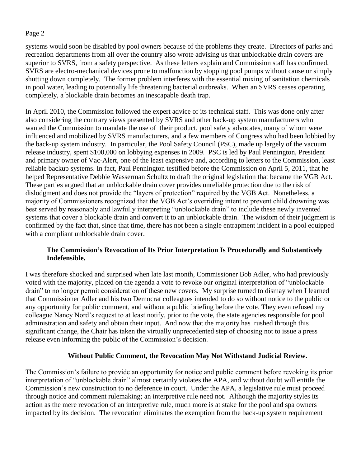systems would soon be disabled by pool owners because of the problems they create. Directors of parks and recreation departments from all over the country also wrote advising us that unblockable drain covers are superior to SVRS, from a safety perspective. As these letters explain and Commission staff has confirmed, SVRS are electro-mechanical devices prone to malfunction by stopping pool pumps without cause or simply shutting down completely. The former problem interferes with the essential mixing of sanitation chemicals in pool water, leading to potentially life threatening bacterial outbreaks. When an SVRS ceases operating completely, a blockable drain becomes an inescapable death trap.

In April 2010, the Commission followed the expert advice of its technical staff. This was done only after also considering the contrary views presented by SVRS and other back-up system manufacturers who wanted the Commission to mandate the use of their product, pool safety advocates, many of whom were influenced and mobilized by SVRS manufacturers, and a few members of Congress who had been lobbied by the back-up system industry. In particular, the Pool Safety Council (PSC), made up largely of the vacuum release industry, spent \$100,000 on lobbying expenses in 2009. PSC is led by Paul Pennington, President and primary owner of Vac-Alert, one of the least expensive and, according to letters to the Commission, least reliable backup systems. In fact, Paul Pennington testified before the Commission on April 5, 2011, that he helped Representative Debbie Wasserman Schultz to draft the original legislation that became the VGB Act. These parties argued that an unblockable drain cover provides unreliable protection due to the risk of dislodgment and does not provide the "layers of protection" required by the VGB Act. Nonetheless, a majority of Commissioners recognized that the VGB Act's overriding intent to prevent child drowning was best served by reasonably and lawfully interpreting "unblockable drain" to include these newly invented systems that cover a blockable drain and convert it to an unblockable drain. The wisdom of their judgment is confirmed by the fact that, since that time, there has not been a single entrapment incident in a pool equipped with a compliant unblockable drain cover.

# **The Commission's Revocation of Its Prior Interpretation Is Procedurally and Substantively Indefensible.**

I was therefore shocked and surprised when late last month, Commissioner Bob Adler, who had previously voted with the majority, placed on the agenda a vote to revoke our original interpretation of "unblockable drain" to no longer permit consideration of these new covers. My surprise turned to dismay when I learned that Commissioner Adler and his two Democrat colleagues intended to do so without notice to the public or any opportunity for public comment, and without a public briefing before the vote. They even refused my colleague Nancy Nord's request to at least notify, prior to the vote, the state agencies responsible for pool administration and safety and obtain their input. And now that the majority has rushed through this significant change, the Chair has taken the virtually unprecedented step of choosing not to issue a press release even informing the public of the Commission's decision.

# **Without Public Comment, the Revocation May Not Withstand Judicial Review.**

The Commission's failure to provide an opportunity for notice and public comment before revoking its prior interpretation of "unblockable drain" almost certainly violates the APA, and without doubt will entitle the Commission's new construction to no deference in court. Under the APA, a legislative rule must proceed through notice and comment rulemaking; an interpretive rule need not. Although the majority styles its action as the mere revocation of an interpretive rule, much more is at stake for the pool and spa owners impacted by its decision. The revocation eliminates the exemption from the back-up system requirement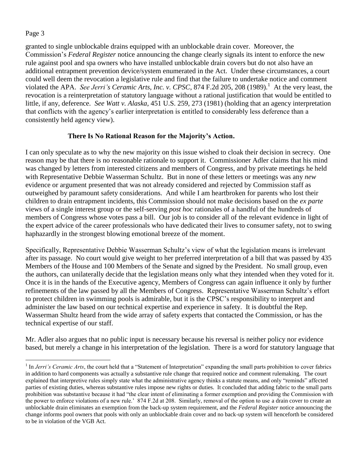$\overline{a}$ 

granted to single unblockable drains equipped with an unblockable drain cover. Moreover, the Commission's *Federal Register* notice announcing the change clearly signals its intent to enforce the new rule against pool and spa owners who have installed unblockable drain covers but do not also have an additional entrapment prevention device/system enumerated in the Act. Under these circumstances, a court could well deem the revocation a legislative rule and find that the failure to undertake notice and comment violated the APA. *See Jerri's Ceramic Arts, Inc. v. CPSC*, 874 F.2d 205, 208 (1989).<sup>1</sup> At the very least, the revocation is a reinterpretation of statutory language without a rational justification that would be entitled to little, if any, deference. *See Watt v. Alaska*, 451 U.S. 259, 273 (1981) (holding that an agency interpretation that conflicts with the agency's earlier interpretation is entitled to considerably less deference than a consistently held agency view).

# **There Is No Rational Reason for the Majority's Action.**

I can only speculate as to why the new majority on this issue wished to cloak their decision in secrecy. One reason may be that there is no reasonable rationale to support it. Commissioner Adler claims that his mind was changed by letters from interested citizens and members of Congress, and by private meetings he held with Representative Debbie Wasserman Schultz. But in none of these letters or meetings was any *new* evidence or argument presented that was not already considered and rejected by Commission staff as outweighed by paramount safety considerations. And while I am heartbroken for parents who lost their children to drain entrapment incidents, this Commission should not make decisions based on the *ex parte* views of a single interest group or the self-serving *post hoc* rationales of a handful of the hundreds of members of Congress whose votes pass a bill. Our job is to consider all of the relevant evidence in light of the expert advice of the career professionals who have dedicated their lives to consumer safety, not to swing haphazardly in the strongest blowing emotional breeze of the moment.

Specifically, Representative Debbie Wasserman Schultz's view of what the legislation means is irrelevant after its passage. No court would give weight to her preferred interpretation of a bill that was passed by 435 Members of the House and 100 Members of the Senate and signed by the President. No small group, even the authors, can unilaterally decide that the legislation means only what they intended when they voted for it. Once it is in the hands of the Executive agency, Members of Congress can again influence it only by further refinements of the law passed by all the Members of Congress. Representative Wasserman Schultz's effort to protect children in swimming pools is admirable, but it is the CPSC's responsibility to interpret and administer the law based on our technical expertise and experience in safety. It is doubtful the Rep. Wasserman Shultz heard from the wide array of safety experts that contacted the Commission, or has the technical expertise of our staff.

Mr. Adler also argues that no public input is necessary because his reversal is neither policy nor evidence based, but merely a change in his interpretation of the legislation. There is a word for statutory language that

<sup>&</sup>lt;sup>1</sup> In *Jerri's Ceramic Arts*, the court held that a "Statement of Interpretation" expanding the small parts prohibition to cover fabrics in addition to hard components was actually a substantive rule change that required notice and comment rulemaking. The court explained that interpretive rules simply state what the administrative agency thinks a statute means, and only "reminds" affected parties of existing duties, whereas substantive rules impose new rights or duties. It concluded that adding fabric to the small parts prohibition was substantive because it had "the clear intent of eliminating a former exemption and providing the Commission with the power to enforce violations of a new rule.' 874 F.2d at 208. Similarly, removal of the option to use a drain cover to create an unblockable drain eliminates an exemption from the back-up system requirement, and the *Federal Register* notice announcing the change informs pool owners that pools with only an unblockable drain cover and no back-up system will henceforth be considered to be in violation of the VGB Act.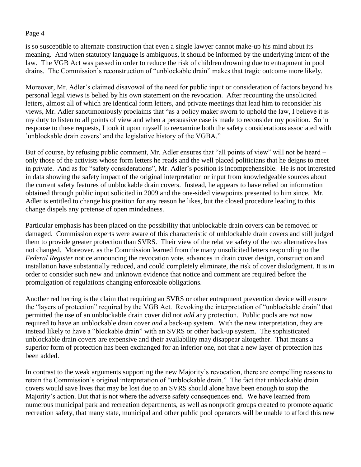is so susceptible to alternate construction that even a single lawyer cannot make-up his mind about its meaning. And when statutory language is ambiguous, it should be informed by the underlying intent of the law. The VGB Act was passed in order to reduce the risk of children drowning due to entrapment in pool drains. The Commission's reconstruction of "unblockable drain" makes that tragic outcome more likely.

Moreover, Mr. Adler's claimed disavowal of the need for public input or consideration of factors beyond his personal legal views is belied by his own statement on the revocation. After recounting the unsolicited letters, almost all of which are identical form letters, and private meetings that lead him to reconsider his views, Mr. Adler sanctimoniously proclaims that "as a policy maker sworn to uphold the law, I believe it is my duty to listen to all points of view and when a persuasive case is made to reconsider my position. So in response to these requests, I took it upon myself to reexamine both the safety considerations associated with `unblockable drain covers' and the legislative history of the VGBA."

But of course, by refusing public comment, Mr. Adler ensures that "all points of view" will not be heard – only those of the activists whose form letters he reads and the well placed politicians that he deigns to meet in private. And as for "safety considerations", Mr. Adler's position is incomprehensible. He is not interested in data showing the safety impact of the original interpretation or input from knowledgeable sources about the current safety features of unblockable drain covers. Instead, he appears to have relied on information obtained through public input solicited in 2009 and the one-sided viewpoints presented to him since. Mr. Adler is entitled to change his position for any reason he likes, but the closed procedure leading to this change dispels any pretense of open mindedness.

Particular emphasis has been placed on the possibility that unblockable drain covers can be removed or damaged. Commission experts were aware of this characteristic of unblockable drain covers and still judged them to provide greater protection than SVRS. Their view of the relative safety of the two alternatives has not changed. Moreover, as the Commission learned from the many unsolicited letters responding to the *Federal Register* notice announcing the revocation vote, advances in drain cover design, construction and installation have substantially reduced, and could completely eliminate, the risk of cover dislodgment. It is in order to consider such new and unknown evidence that notice and comment are required before the promulgation of regulations changing enforceable obligations.

Another red herring is the claim that requiring an SVRS or other entrapment prevention device will ensure the "layers of protection" required by the VGB Act. Revoking the interpretation of "unblockable drain" that permitted the use of an unblockable drain cover did not *add* any protection. Public pools are *not* now required to have an unblockable drain cover *and* a back-up system. With the new interpretation, they are instead likely to have a "blockable drain" with an SVRS or other back-up system. The sophisticated unblockable drain covers are expensive and their availability may disappear altogether. That means a superior form of protection has been exchanged for an inferior one, not that a new layer of protection has been added.

In contrast to the weak arguments supporting the new Majority's revocation, there are compelling reasons to retain the Commission's original interpretation of "unblockable drain." The fact that unblockable drain covers would save lives that may be lost due to an SVRS should alone have been enough to stop the Majority's action. But that is not where the adverse safety consequences end. We have learned from numerous municipal park and recreation departments, as well as nonprofit groups created to promote aquatic recreation safety, that many state, municipal and other public pool operators will be unable to afford this new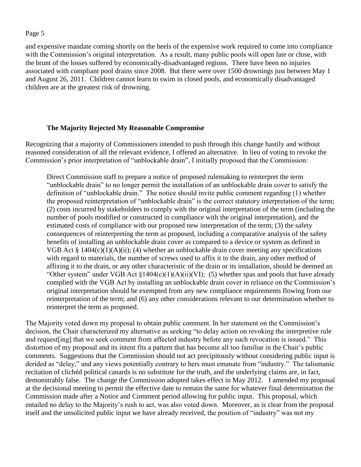and expensive mandate coming shortly on the heels of the expensive work required to come into compliance with the Commission's original interpretation. As a result, many public pools will open late or close, with the brunt of the losses suffered by economically-disadvantaged regions. There have been no injuries associated with compliant pool drains since 2008. But there were over 1500 drownings just between May 1 and August 26, 2011. Children cannot learn to swim in closed pools, and economically disadvantaged children are at the greatest risk of drowning.

#### **The Majority Rejected My Reasonable Compromise**

Recognizing that a majority of Commissioners intended to push through this change hastily and without reasoned consideration of all the relevant evidence, I offered an alternative. In lieu of voting to revoke the Commission's prior interpretation of "unblockable drain", I initially proposed that the Commission:

Direct Commission staff to prepare a notice of proposed rulemaking to reinterpret the term "unblockable drain" to no longer permit the installation of an unblockable drain cover to satisfy the definition of "unblockable drain." The notice should invite public comment regarding (1) whether the proposed reinterpretation of "unblockable drain" is the correct statutory interpretation of the term; (2) costs incurred by stakeholders to comply with the original interpretation of the term (including the number of pools modified or constructed in compliance with the original interpretation), and the estimated costs of compliance with our proposed new interpretation of the term; (3) the safety consequences of reinterpreting the term as proposed, including a comparative analysis of the safety benefits of installing an unblockable drain cover as compared to a device or system as defined in VGB Act § 1404(c)(1)(A)(ii); (4) whether an unblockable drain cover meeting any specifications with regard to materials, the number of screws used to affix it to the drain, any other method of affixing it to the drain, or any other characteristic of the drain or its installation, should be deemed an "Other system" under VGB Act  $\S1404(c)(1)(A)(ii)(V)$ ; (5) whether spas and pools that have already complied with the VGB Act by installing an unblockable drain cover in reliance on the Commission's original interpretation should be exempted from any new compliance requirements flowing from our reinterpretation of the term; and (6) any other considerations relevant to our determination whether to reinterpret the term as proposed.

The Majority voted down my proposal to obtain public comment. In her statement on the Commission's decision, the Chair characterized my alternative as seeking "to delay action on revoking the interpretive rule and request[ing] that we seek comment from affected industry before any such revocation is issued." This distortion of my proposal and its intent fits a pattern that has become all too familiar in the Chair's public comments. Suggestions that the Commission should not act precipitously without considering public input is derided as "delay," and any views potentially contrary to hers must emanate from "industry." The talismanic recitation of clichéd political canards is no substitute for the truth, and the underlying claims are, in fact, demonstrably false. The change the Commission adopted takes effect in May 2012. I amended my proposal at the decisional meeting to permit the effective date to remain the same for whatever final determination the Commission made after a Notice and Comment period allowing for public input. This proposal, which entailed no delay to the Majority's rush to act, was also voted down. Moreover, as is clear from the proposal itself and the unsolicited public input we have already received, the position of "industry" was not my